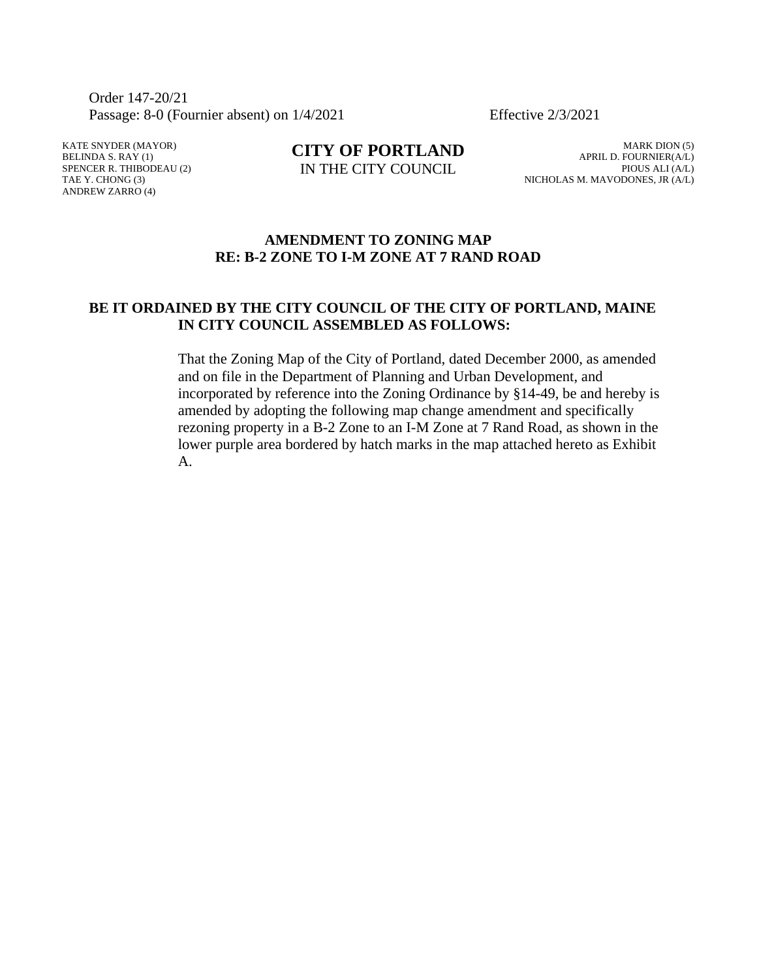Order 147-20/21 Passage: 8-0 (Fournier absent) on  $1/4/2021$  Effective  $2/3/2021$ 

KATE SNYDER (MAYOR) BELINDA S. RAY (1) SPENCER R. THIBODEAU (2) TAE Y. CHONG (3) ANDREW ZARRO (4)

**CITY OF PORTLAND** IN THE CITY COUNCIL

MARK DION (5) APRIL D. FOURNIER(A/L) PIOUS ALI (A/L) NICHOLAS M. MAVODONES, JR (A/L)

## **AMENDMENT TO ZONING MAP RE: B-2 ZONE TO I-M ZONE AT 7 RAND ROAD**

# **BE IT ORDAINED BY THE CITY COUNCIL OF THE CITY OF PORTLAND, MAINE IN CITY COUNCIL ASSEMBLED AS FOLLOWS:**

That the Zoning Map of the City of Portland, dated December 2000, as amended and on file in the Department of Planning and Urban Development, and incorporated by reference into the Zoning Ordinance by §14-49, be and hereby is amended by adopting the following map change amendment and specifically rezoning property in a B-2 Zone to an I-M Zone at 7 Rand Road, as shown in the lower purple area bordered by hatch marks in the map attached hereto as Exhibit A.